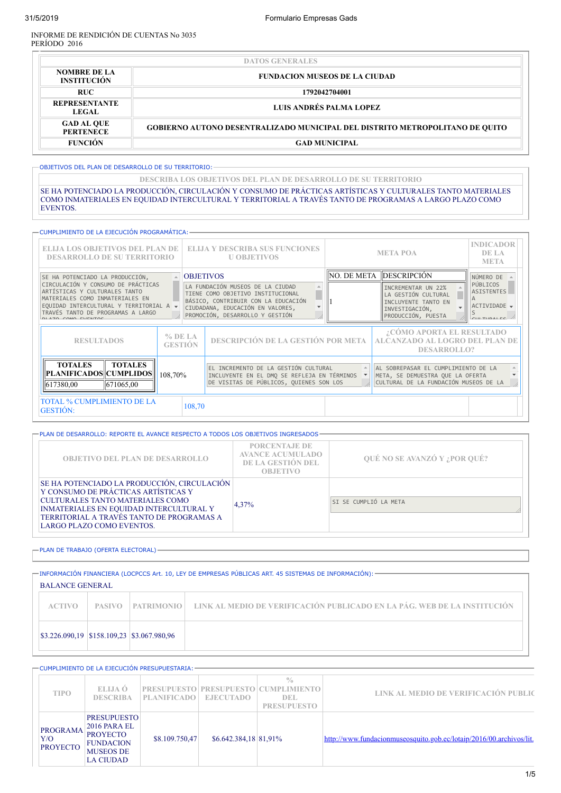INFORME DE RENDICIÓN DE CUENTAS No 3035 PERÍODO 2016

|                                                                                   | <b>DATOS GENERALES</b>                                                              |  |  |  |  |  |  |
|-----------------------------------------------------------------------------------|-------------------------------------------------------------------------------------|--|--|--|--|--|--|
| <b>NOMBRE DE LA</b><br><b>FUNDACION MUSEOS DE LA CIUDAD</b><br><b>INSTITUCIÓN</b> |                                                                                     |  |  |  |  |  |  |
| <b>RUC</b><br>1792042704001                                                       |                                                                                     |  |  |  |  |  |  |
| REPRESENTANTE<br><b>LEGAL</b>                                                     | LUIS ANDRÉS PALMA LOPEZ                                                             |  |  |  |  |  |  |
| <b>GAD AL QUE</b><br><b>PERTENECE</b>                                             | <b>GOBIERNO AUTONO DESENTRALIZADO MUNICIPAL DEL DISTRITO METROPOLITANO DE OUITO</b> |  |  |  |  |  |  |
| <b>FUNCIÓN</b>                                                                    | <b>GAD MUNICIPAL</b>                                                                |  |  |  |  |  |  |

OBJETIVOS DEL PLAN DE DESARROLLO DE SU TERRITORIO:

**DESCRIBA LOS OBJETIVOS DEL PLAN DE DESARROLLO DE SU TERRITORIO**

SE HA POTENCIADO LA PRODUCCIÓN, CIRCULACIÓN Y CONSUMO DE PRÁCTICAS ARTÍSTICAS Y CULTURALES TANTO MATERIALES COMO INMATERIALES EN EQUIDAD INTERCULTURAL Y TERRITORIAL A TRAVÉS TANTO DE PROGRAMAS A LARGO PLAZO COMO EVENTOS.

|                                                                                                                                                                                                              | — CUMPLIMIENTO DE LA EJECUCIÓN PROGRAMÁTICA: – |                  |                                                                                                                                                                                     |  |                                                                                                          |                                                                                                                  |                                                                  |  |  |
|--------------------------------------------------------------------------------------------------------------------------------------------------------------------------------------------------------------|------------------------------------------------|------------------|-------------------------------------------------------------------------------------------------------------------------------------------------------------------------------------|--|----------------------------------------------------------------------------------------------------------|------------------------------------------------------------------------------------------------------------------|------------------------------------------------------------------|--|--|
| ELLIA LOS OBJETIVOS DEL PLAN DE<br><b>DESARROLLO DE SU TERRITORIO</b>                                                                                                                                        |                                                |                  | <b>ELIJA Y DESCRIBA SUS FUNCIONES</b><br><b>U OBJETIVOS</b>                                                                                                                         |  |                                                                                                          | <b>INDICADOR</b><br>DE LA<br><b>META</b>                                                                         |                                                                  |  |  |
| SE HA POTENCIADO LA PRODUCCIÓN,                                                                                                                                                                              |                                                | <b>OBJETIVOS</b> |                                                                                                                                                                                     |  | NO. DE META                                                                                              | DESCRIPCIÓN                                                                                                      | NÚMERO DE                                                        |  |  |
| CIRCULACIÓN Y CONSUMO DE PRÁCTICAS<br>ARTÍSTICAS Y CULTURALES TANTO<br>MATERIALES COMO INMATERIALES EN<br>EQUIDAD INTERCULTURAL Y TERRITORIAL A v<br>TRAVÉS TANTO DE PROGRAMAS A LARGO<br>1 ATO COMO FUENTOS |                                                |                  | LA FUNDACIÓN MUSEOS DE LA CIUDAD<br>TIENE COMO OBJETIVO INSTITUCIONAL<br>BÁSICO, CONTRIBUIR CON LA EDUCACIÓN<br>CIUDADANA, EDUCACIÓN EN VALORES,<br>PROMOCIÓN, DESARROLLO Y GESTIÓN |  | INCREMENTAR UN 22%<br>LA GESTIÓN CULTURAL<br>INCLUYENTE TANTO EN<br>INVESTIGACIÓN.<br>PRODUCCIÓN, PUESTA |                                                                                                                  | PÚBLICOS<br><b>ASISTENTES</b><br>ACTIVIDADE -<br>$C\cup T\cup D$ |  |  |
| $%$ DE LA<br><b>RESULTADOS</b><br><b>GESTIÓN</b>                                                                                                                                                             |                                                |                  | DESCRIPCIÓN DE LA GESTIÓN POR META                                                                                                                                                  |  | ¿CÓMO APORTA EL RESULTADO<br><b>ALCANZADO AL LOGRO DEL PLAN DE</b><br><b>DESARROLLO?</b>                 |                                                                                                                  |                                                                  |  |  |
| <b>TOTALES</b><br><b>TOTALES</b><br> PLANIFICADOS  CUMPLIDOS <br>108.70%<br>617380,00<br>671065,00                                                                                                           |                                                |                  | EL INCREMENTO DE LA GESTIÓN CULTURAL<br>INCLUYENTE EN EL DMO SE REFLEJA EN TÉRMINOS<br>DE VISITAS DE PÚBLICOS, QUIENES SON LOS                                                      |  |                                                                                                          | AL SOBREPASAR EL CUMPLIMIENTO DE LA<br>META, SE DEMUESTRA QUE LA OFERTA<br>CULTURAL DE LA FUNDACIÓN MUSEOS DE LA |                                                                  |  |  |
| <b>TOTAL % CUMPLIMIENTO DE LA</b><br>108,70<br><b>GESTIÓN:</b>                                                                                                                                               |                                                |                  |                                                                                                                                                                                     |  |                                                                                                          |                                                                                                                  |                                                                  |  |  |

| $\rightarrow$ PLAN DE DESARROLLO: REPORTE EL AVANCE RESPECTO A TODOS LOS OBJETIVOS INGRESADOS:                                                                                                                                                     |                                                                                         |                                     |
|----------------------------------------------------------------------------------------------------------------------------------------------------------------------------------------------------------------------------------------------------|-----------------------------------------------------------------------------------------|-------------------------------------|
| <b>OBJETIVO DEL PLAN DE DESARROLLO</b>                                                                                                                                                                                                             | <b>PORCENTAJE DE</b><br><b>AVANCE ACUMULADO</b><br>DE LA GESTIÓN DEL<br><b>OBJETIVO</b> | <b>OUÉ NO SE AVANZÓ Y ¿POR OUÉ?</b> |
| SE HA POTENCIADO LA PRODUCCIÓN, CIRCULACIÓN<br>Y CONSUMO DE PRÁCTICAS ARTÍSTICAS Y<br><b>CULTURALES TANTO MATERIALES COMO</b><br>INMATERIALES EN EQUIDAD INTERCULTURAL Y<br>TERRITORIAL A TRAVÉS TANTO DE PROGRAMAS A<br>LARGO PLAZO COMO EVENTOS. | 4.37%                                                                                   | SI SE CUMPLIÓ LA META               |

PLAN DE TRABAJO (OFERTA ELECTORAL)

INFORMACIÓN FINANCIERA (LOCPCCS Art. 10, LEY DE EMPRESAS PÚBLICAS ART. 45 SISTEMAS DE INFORMACIÓN): BALANCE GENERAL **ACTIVO PASIVO PATRIMONIO LINK AL MEDIO DE VERIFICACIÓN PUBLICADO EN LA PÁG. WEB DE LA INSTITUCIÓN** \$3.226.090,19 \$158.109,23 \$3.067.980,96

|                                           |                                                                                                                   | CUMPLIMIENTO DE LA EJECUCIÓN PRESUPUESTARIA: = |                       |                                                                                            |                                                                     |
|-------------------------------------------|-------------------------------------------------------------------------------------------------------------------|------------------------------------------------|-----------------------|--------------------------------------------------------------------------------------------|---------------------------------------------------------------------|
| <b>TIPO</b>                               | ELLIA Ó<br><b>DESCRIBA</b>                                                                                        | <b>PLANIFICADO</b>                             | <b>EJECUTADO</b>      | $\frac{0}{0}$<br><b>PRESUPUESTO PRESUPUESTO CUMPLIMIENTO</b><br>DEL.<br><b>PRESUPUESTO</b> | LINK AL MEDIO DE VERIFICACIÓN PUBLIC                                |
| <b>PROGRAMA</b><br>Y/O<br><b>PROYECTO</b> | <b>PRESUPUESTO</b><br>2016 PARA EL<br><b>PROYECTO</b><br><b>FUNDACION</b><br><b>MUSEOS DE</b><br><b>LA CIUDAD</b> | \$8.109.750,47                                 | \$6.642.384,18 81,91% |                                                                                            | http://www.fundacionmuseosquito.gob.ec/lotaip/2016/00.archivos/lit. |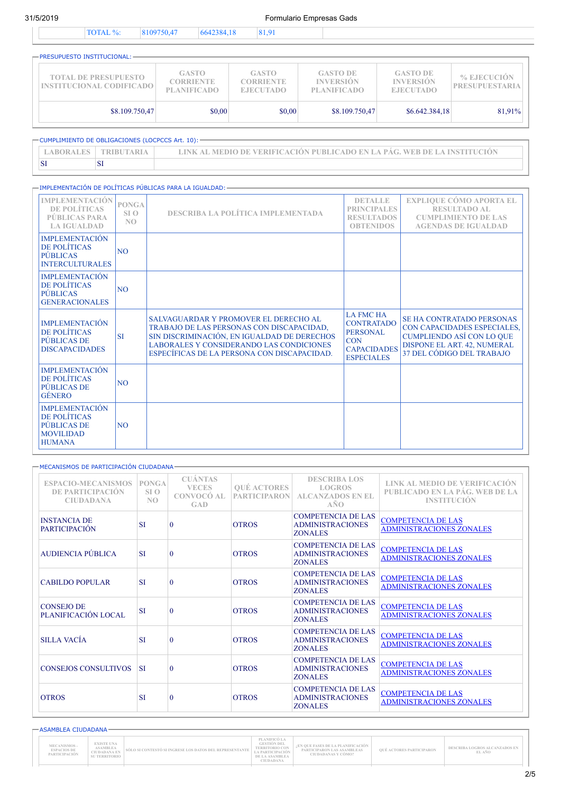31/5/2019 Formulario Empresas Gads

|--|

| -PRESUPUESTO INSTITUCIONAL: -                           |                                                        |                                                      |                                                           |                                                         |                                      |
|---------------------------------------------------------|--------------------------------------------------------|------------------------------------------------------|-----------------------------------------------------------|---------------------------------------------------------|--------------------------------------|
| <b>TOTAL DE PRESUPUESTO</b><br>INSTITUCIONAL CODIFICADO | <b>GASTO</b><br><b>CORRIENTE</b><br><b>PLANIFICADO</b> | <b>GASTO</b><br><b>CORRIENTE</b><br><b>EJECUTADO</b> | <b>GASTO DE</b><br><b>INVERSIÓN</b><br><b>PLANIFICADO</b> | <b>GASTO DE</b><br><b>INVERSIÓN</b><br><b>EJECUTADO</b> | % EJECUCIÓN<br><b>PRESUPUESTARIA</b> |
| \$8.109.750,47                                          | \$0,00                                                 | \$0,00                                               | \$8.109.750,47                                            | \$6.642,384,18                                          | 81,91%                               |

| - CUMPLIMIENTO DE OBLIGACIONES (LOCPCCS Art. 10): - |                   |                                                                         |  |  |  |  |  |
|-----------------------------------------------------|-------------------|-------------------------------------------------------------------------|--|--|--|--|--|
| <b>LABORALES</b>                                    | <b>TRIBUTARIA</b> | UNK AL MEDIO DE VERIFICACIÓN PUBLICADO EN LA PÁG. WEB DE LA INSTITUCIÓN |  |  |  |  |  |
|                                                     |                   |                                                                         |  |  |  |  |  |

### IMPLEMENTACIÓN DE POLÍTICAS PÚBLICAS PARA LA IGUALDAD:

| <b>IMPLEMENTACIÓN</b><br>DE POLÍTICAS<br><b>PÚBLICAS PARA</b><br><b>LA IGUALDAD</b>       | <b>PONGA</b><br>SL <sub>O</sub><br>NO | <b>DESCRIBA LA POLÍTICA IMPLEMENTADA</b>                                                                                                                                                                                            | <b>DETALLE</b><br><b>PRINCIPALES</b><br><b>RESULTADOS</b><br><b>OBTENIDOS</b>                                     | <b>EXPLIQUE CÓMO APORTA EL</b><br><b>RESULTADO AL</b><br><b>CUMPLIMIENTO DE LAS</b><br><b>AGENDAS DE IGUALDAD</b>                                               |
|-------------------------------------------------------------------------------------------|---------------------------------------|-------------------------------------------------------------------------------------------------------------------------------------------------------------------------------------------------------------------------------------|-------------------------------------------------------------------------------------------------------------------|-----------------------------------------------------------------------------------------------------------------------------------------------------------------|
| <b>IMPLEMENTACIÓN</b><br>DE POLÍTICAS<br><b>PÚBLICAS</b><br><b>INTERCULTURALES</b>        | N <sub>O</sub>                        |                                                                                                                                                                                                                                     |                                                                                                                   |                                                                                                                                                                 |
| <b>IMPLEMENTACIÓN</b><br>DE POLÍTICAS<br><b>PÚBLICAS</b><br><b>GENERACIONALES</b>         | N <sub>O</sub>                        |                                                                                                                                                                                                                                     |                                                                                                                   |                                                                                                                                                                 |
| <b>IMPLEMENTACIÓN</b><br>DE POLÍTICAS<br>PÚBLICAS DE<br><b>DISCAPACIDADES</b>             | <b>SI</b>                             | SALVAGUARDAR Y PROMOVER EL DERECHO AL<br>TRABAJO DE LAS PERSONAS CON DISCAPACIDAD,<br>SIN DISCRIMINACIÓN, EN IGUALDAD DE DERECHOS<br><b>LABORALES Y CONSIDERANDO LAS CONDICIONES</b><br>ESPECÍFICAS DE LA PERSONA CON DISCAPACIDAD. | <b>LA FMC HA</b><br><b>CONTRATADO</b><br><b>PERSONAL</b><br><b>CON</b><br><b>CAPACIDADES</b><br><b>ESPECIALES</b> | <b>SE HA CONTRATADO PERSONAS</b><br>CON CAPACIDADES ESPECIALES,<br><b>CUMPLIENDO ASÍ CON LO QUE</b><br>DISPONE EL ART. 42, NUMERAL<br>37 DEL CÓDIGO DEL TRABAJO |
| <b>IMPLEMENTACIÓN</b><br>DE POLÍTICAS<br>PÚBLICAS DE<br><b>GÉNERO</b>                     | N <sub>O</sub>                        |                                                                                                                                                                                                                                     |                                                                                                                   |                                                                                                                                                                 |
| <b>IMPLEMENTACIÓN</b><br>DE POLÍTICAS<br>PÚBLICAS DE<br><b>MOVILIDAD</b><br><b>HUMANA</b> | N <sub>O</sub>                        |                                                                                                                                                                                                                                     |                                                                                                                   |                                                                                                                                                                 |

| MECANISMOS DE PARTICIPACIÓN CIUDADANA-                            |                                                   |                                                                   |                                           |                                                                        |                                                                                       |
|-------------------------------------------------------------------|---------------------------------------------------|-------------------------------------------------------------------|-------------------------------------------|------------------------------------------------------------------------|---------------------------------------------------------------------------------------|
| <b>ESPACIO-MECANISMOS</b><br>DE PARTICIPACIÓN<br><b>CIUDADANA</b> | <b>PONGA</b><br>SI <sub>O</sub><br>N <sub>O</sub> | <b>CUÁNTAS</b><br><b>VECES</b><br><b>CONVOCÓ AL</b><br><b>GAD</b> | <b>OUÉ ACTORES</b><br><b>PARTICIPARON</b> | <b>DESCRIBA LOS</b><br><b>LOGROS</b><br><b>ALCANZADOS EN EL</b><br>AÑO | LINK AL MEDIO DE VERIFICACIÓN<br>PUBLICADO EN LA PÁG. WEB DE LA<br><b>INSTITUCIÓN</b> |
| <b>INSTANCIA DE</b><br><b>PARTICIPACIÓN</b>                       | <b>SI</b>                                         | $\Omega$                                                          | <b>OTROS</b>                              | <b>COMPETENCIA DE LAS</b><br><b>ADMINISTRACIONES</b><br><b>ZONALES</b> | <b>COMPETENCIA DE LAS</b><br><b>ADMINISTRACIONES ZONALES</b>                          |
| <b>AUDIENCIA PÚBLICA</b>                                          | <b>SI</b>                                         | $\mathbf{0}$                                                      | <b>OTROS</b>                              | <b>COMPETENCIA DE LAS</b><br><b>ADMINISTRACIONES</b><br><b>ZONALES</b> | <b>COMPETENCIA DE LAS</b><br><b>ADMINISTRACIONES ZONALES</b>                          |
| <b>CABILDO POPULAR</b>                                            | <b>SI</b>                                         | $\Omega$                                                          | <b>OTROS</b>                              | <b>COMPETENCIA DE LAS</b><br><b>ADMINISTRACIONES</b><br><b>ZONALES</b> | <b>COMPETENCIA DE LAS</b><br><b>ADMINISTRACIONES ZONALES</b>                          |
| <b>CONSEJO DE</b><br>PLANIFICACIÓN LOCAL                          | <b>SI</b>                                         | $\overline{0}$                                                    | <b>OTROS</b>                              | <b>COMPETENCIA DE LAS</b><br><b>ADMINISTRACIONES</b><br><b>ZONALES</b> | <b>COMPETENCIA DE LAS</b><br><b>ADMINISTRACIONES ZONALES</b>                          |
| <b>SILLA VACÍA</b>                                                | <b>SI</b>                                         | $\Omega$                                                          | <b>OTROS</b>                              | <b>COMPETENCIA DE LAS</b><br><b>ADMINISTRACIONES</b><br><b>ZONALES</b> | <b>COMPETENCIA DE LAS</b><br><b>ADMINISTRACIONES ZONALES</b>                          |
| <b>CONSEJOS CONSULTIVOS</b>                                       | <b>SI</b>                                         | $\overline{0}$                                                    | <b>OTROS</b>                              | <b>COMPETENCIA DE LAS</b><br><b>ADMINISTRACIONES</b><br><b>ZONALES</b> | <b>COMPETENCIA DE LAS</b><br><b>ADMINISTRACIONES ZONALES</b>                          |
| <b>OTROS</b>                                                      | <b>SI</b>                                         | $\overline{0}$                                                    | <b>OTROS</b>                              | <b>COMPETENCIA DE LAS</b><br><b>ADMINISTRACIONES</b><br><b>ZONALES</b> | <b>COMPETENCIA DE LAS</b><br><b>ADMINISTRACIONES ZONALES</b>                          |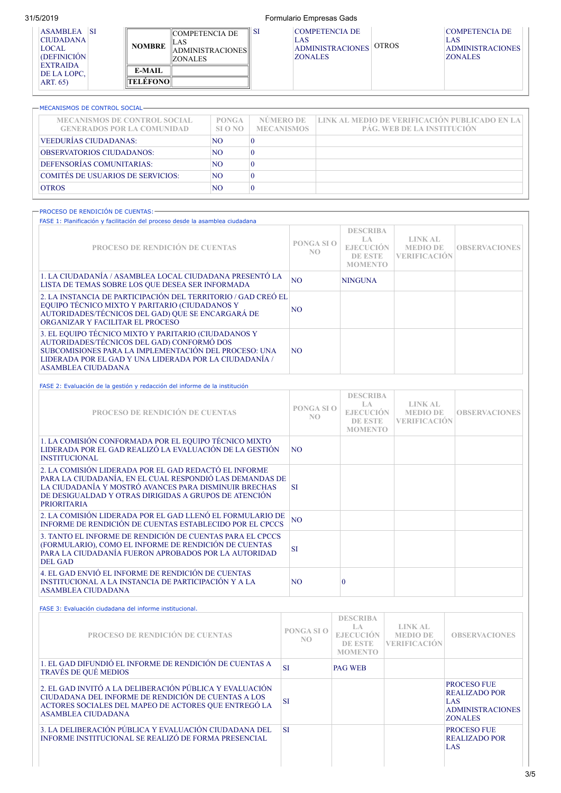ASAMBLEA SI CIUDADANA LOCAL (DEFINICIÓN EXTRAIDA DE LA LOPC, ART. 65)

## 31/5/2019 Formulario Empresas Gads

SI COMPETENCIA DE LAS ADMINISTRACIONES ZONALES OTROS

### -MECANISMOS DE CONTROL SOCIAL-

**NOMBRE**

**E-MAIL TELÉFONO**

COMPETENCIA DE

ADMINISTRACIONES

LAS

ZONALES

| <b>MECANISMOS DE CONTROL SOCIAL</b><br><b>GENERADOS POR LA COMUNIDAD</b> | <b>PONGA</b><br>SLO <sub>NO</sub> | NÚMERO DE<br><b>MECANISMOS</b> | LINK AL MEDIO DE VERIFICACIÓN PUBLICADO EN LA<br><b>PÁG. WEB DE LA INSTITUCIÓN</b> |
|--------------------------------------------------------------------------|-----------------------------------|--------------------------------|------------------------------------------------------------------------------------|
| VEEDURÍAS CIUDADANAS:                                                    | NO.                               |                                |                                                                                    |
| <b>OBSERVATORIOS CIUDADANOS:</b>                                         | NO.                               |                                |                                                                                    |
| DEFENSORÍAS COMUNITARIAS:                                                | NO.                               |                                |                                                                                    |
| COMITÉS DE USUARIOS DE SERVICIOS:                                        | NO.                               |                                |                                                                                    |
| <b>OTROS</b>                                                             | NO.                               |                                |                                                                                    |

| -PROCESO DE RENDICIÓN DE CUENTAS:-<br>FASE 1: Planificación y facilitación del proceso desde la asamblea ciudadana                                                                                                                          |                              |                                                                                |                                                          |                      |
|---------------------------------------------------------------------------------------------------------------------------------------------------------------------------------------------------------------------------------------------|------------------------------|--------------------------------------------------------------------------------|----------------------------------------------------------|----------------------|
| PROCESO DE RENDICIÓN DE CUENTAS                                                                                                                                                                                                             | PONGA SI O<br>N <sub>O</sub> | <b>DESCRIBA</b><br>T.A<br><b>EJECUCIÓN</b><br><b>DE ESTE</b><br><b>MOMENTO</b> | <b>LINK AL</b><br><b>MEDIO DE</b><br><b>VERIFICACIÓN</b> | <b>OBSERVACIONES</b> |
| 1. LA CIUDADANÍA / ASAMBLEA LOCAL CIUDADANA PRESENTÓ LA<br>LISTA DE TEMAS SOBRE LOS QUE DESEA SER INFORMADA                                                                                                                                 | N <sub>O</sub>               | <b>NINGUNA</b>                                                                 |                                                          |                      |
| 2. LA INSTANCIA DE PARTICIPACIÓN DEL TERRITORIO / GAD CREÓ EL<br>EQUIPO TÉCNICO MIXTO Y PARITARIO (CIUDADANOS Y<br>AUTORIDADES/TÉCNICOS DEL GAD) QUE SE ENCARGARÁ DE<br>ORGANIZAR Y FACILITAR EL PROCESO                                    | N <sub>O</sub>               |                                                                                |                                                          |                      |
| 3. EL EQUIPO TÉCNICO MIXTO Y PARITARIO (CIUDADANOS Y<br>AUTORIDADES/TÉCNICOS DEL GAD) CONFORMÓ DOS<br>SUBCOMISIONES PARA LA IMPLEMENTACIÓN DEL PROCESO: UNA<br>LIDERADA POR EL GAD Y UNA LIDERADA POR LA CIUDADANÍA /<br>ASAMBLEA CIUDADANA | NO.                          |                                                                                |                                                          |                      |

| FASE 2: Evaluación de la gestión y redacción del informe de la institución                                                                                                                                                                                |                              |                                                                          |                                                          |                      |
|-----------------------------------------------------------------------------------------------------------------------------------------------------------------------------------------------------------------------------------------------------------|------------------------------|--------------------------------------------------------------------------|----------------------------------------------------------|----------------------|
| PROCESO DE RENDICIÓN DE CUENTAS                                                                                                                                                                                                                           | PONGA SI O<br>N <sub>O</sub> | <b>DESCRIBA</b><br>T.A<br><b>E.IECUCIÓN</b><br>DE ESTE<br><b>MOMENTO</b> | <b>LINK AL</b><br><b>MEDIO DE</b><br><b>VERIFICACIÓN</b> | <b>OBSERVACIONES</b> |
| 1. LA COMISIÓN CONFORMADA POR EL EQUIPO TÉCNICO MIXTO<br>LIDERADA POR EL GAD REALIZÓ LA EVALUACIÓN DE LA GESTIÓN<br><b>INSTITUCIONAL</b>                                                                                                                  | NO.                          |                                                                          |                                                          |                      |
| 2. LA COMISIÓN LIDERADA POR EL GAD REDACTÓ EL INFORME<br>PARA LA CIUDADANÍA, EN EL CUAL RESPONDIÓ LAS DEMANDAS DE<br>LA CIUDADANÍA Y MOSTRÓ AVANCES PARA DISMINUIR BRECHAS<br>DE DESIGUALDAD Y OTRAS DIRIGIDAS A GRUPOS DE ATENCIÓN<br><b>PRIORITARIA</b> | <b>SI</b>                    |                                                                          |                                                          |                      |
| 2. LA COMISIÓN LIDERADA POR EL GAD LLENÓ EL FORMULARIO DE<br>INFORME DE RENDICIÓN DE CUENTAS ESTABLECIDO POR EL CPCCS                                                                                                                                     | <b>NO</b>                    |                                                                          |                                                          |                      |
| 3. TANTO EL INFORME DE RENDICIÓN DE CUENTAS PARA EL CPCCS<br>(FORMULARIO), COMO EL INFORME DE RENDICIÓN DE CUENTAS<br>PARA LA CIUDADANÍA FUERON APROBADOS POR LA AUTORIDAD<br><b>DEL GAD</b>                                                              | <b>SI</b>                    |                                                                          |                                                          |                      |
| 4. EL GAD ENVIÓ EL INFORME DE RENDICIÓN DE CUENTAS<br>INSTITUCIONAL A LA INSTANCIA DE PARTICIPACIÓN Y A LA<br><b>ASAMBLEA CIUDADANA</b>                                                                                                                   | N <sub>O</sub>               | 0                                                                        |                                                          |                      |

### FASE 3: Evaluación ciudadana del informe institucional.

| PROCESO DE RENDICIÓN DE CUENTAS                                                                                                                                                                     | PONGA SLO<br>NO. | <b>DESCRIBA</b><br>-LA<br><b>EJECUCIÓN</b><br>DE ESTE<br><b>MOMENTO</b> | LINK AL<br><b>MEDIO DE</b><br><b>ERIFICACIÓN</b> | <b>OBSERVACIONES</b>                                                                    |
|-----------------------------------------------------------------------------------------------------------------------------------------------------------------------------------------------------|------------------|-------------------------------------------------------------------------|--------------------------------------------------|-----------------------------------------------------------------------------------------|
| 1. EL GAD DIFUNDIÓ EL INFORME DE RENDICIÓN DE CUENTAS A<br><b>TRAVÉS DE QUÉ MEDIOS</b>                                                                                                              | SI               | <b>PAG WEB</b>                                                          |                                                  |                                                                                         |
| 2. EL GAD INVITÓ A LA DELIBERACIÓN PÚBLICA Y EVALUACIÓN<br>CIUDADANA DEL INFORME DE RENDICIÓN DE CUENTAS A LOS<br>ACTORES SOCIALES DEL MAPEO DE ACTORES QUE ENTREGÓ LA<br><b>ASAMBLEA CIUDADANA</b> | <b>SI</b>        |                                                                         |                                                  | PROCESO FUE<br><b>REALIZADO POR</b><br>LAS<br><b>ADMINISTRACIONES</b><br><b>ZONALES</b> |
| 3. LA DELIBERACIÓN PÚBLICA Y EVALUACIÓN CIUDADANA DEL<br>INFORME INSTITUCIONAL SE REALIZÓ DE FORMA PRESENCIAL                                                                                       | <b>SI</b>        |                                                                         |                                                  | PROCESO FUE<br><b>REALIZADO POR</b><br>LAS                                              |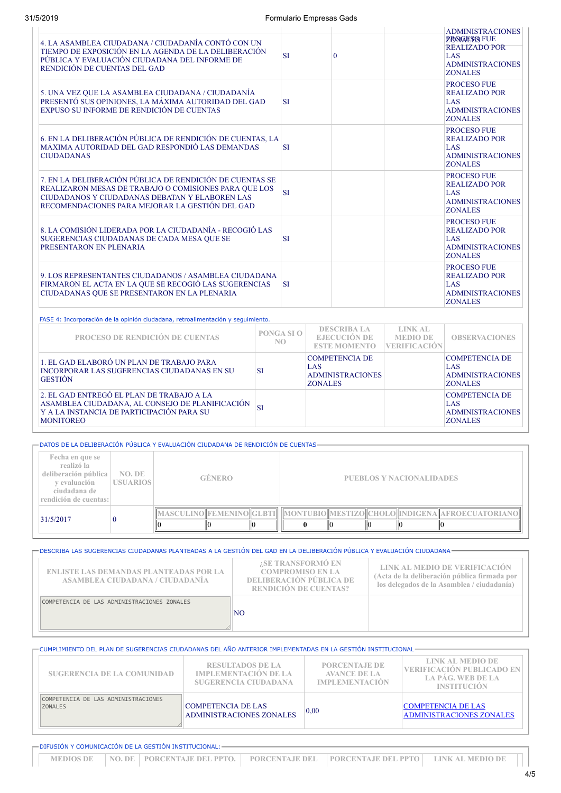| 4. LA ASAMBLEA CIUDADANA / CIUDADANÍA CONTÓ CON UN<br>TIEMPO DE EXPOSICIÓN EN LA AGENDA DE LA DELIBERACIÓN<br>PÚBLICA Y EVALUACIÓN CIUDADANA DEL INFORME DE<br>RENDICIÓN DE CUENTAS DEL GAD                            |           | <b>SI</b>         | $\overline{0}$                                                            |                                                          | <b>ADMINISTRACIONES</b><br><b>PROGESO FUE</b><br><b>REALIZADO POR</b><br>LAS.<br><b>ADMINISTRACIONES</b><br><b>ZONALES</b> |
|------------------------------------------------------------------------------------------------------------------------------------------------------------------------------------------------------------------------|-----------|-------------------|---------------------------------------------------------------------------|----------------------------------------------------------|----------------------------------------------------------------------------------------------------------------------------|
| 5. UNA VEZ QUE LA ASAMBLEA CIUDADANA / CIUDADANÍA<br>PRESENTÓ SUS OPINIONES, LA MÁXIMA AUTORIDAD DEL GAD<br>EXPUSO SU INFORME DE RENDICIÓN DE CUENTAS                                                                  |           | <b>SI</b>         |                                                                           |                                                          | <b>PROCESO FUE</b><br><b>REALIZADO POR</b><br>LAS.<br><b>ADMINISTRACIONES</b><br><b>ZONALES</b>                            |
| 6. EN LA DELIBERACIÓN PÚBLICA DE RENDICIÓN DE CUENTAS, LA<br>MÁXIMA AUTORIDAD DEL GAD RESPONDIÓ LAS DEMANDAS<br><b>CIUDADANAS</b>                                                                                      |           | <b>SI</b>         |                                                                           |                                                          | <b>PROCESO FUE</b><br><b>REALIZADO POR</b><br><b>LAS</b><br><b>ADMINISTRACIONES</b><br><b>ZONALES</b>                      |
| 7. EN LA DELIBERACIÓN PÚBLICA DE RENDICIÓN DE CUENTAS SE<br>REALIZARON MESAS DE TRABAJO O COMISIONES PARA QUE LOS<br>CIUDADANOS Y CIUDADANAS DEBATAN Y ELABOREN LAS<br>RECOMENDACIONES PARA MEJORAR LA GESTIÓN DEL GAD |           | <b>SI</b>         |                                                                           |                                                          | <b>PROCESO FUE</b><br><b>REALIZADO POR</b><br>LAS.<br><b>ADMINISTRACIONES</b><br><b>ZONALES</b>                            |
| 8. LA COMISIÓN LIDERADA POR LA CIUDADANÍA - RECOGIÓ LAS<br>SUGERENCIAS CIUDADANAS DE CADA MESA QUE SE<br>PRESENTARON EN PLENARIA                                                                                       |           |                   |                                                                           |                                                          | PROCESO FUE<br><b>REALIZADO POR</b><br>LAS.<br><b>ADMINISTRACIONES</b><br><b>ZONALES</b>                                   |
| 9. LOS REPRESENTANTES CIUDADANOS / ASAMBLEA CIUDADANA<br>FIRMARON EL ACTA EN LA QUE SE RECOGIÓ LAS SUGERENCIAS<br>CIUDADANAS QUE SE PRESENTARON EN LA PLENARIA                                                         |           |                   |                                                                           |                                                          | <b>PROCESO FUE</b><br><b>REALIZADO POR</b><br>LAS<br><b>ADMINISTRACIONES</b><br><b>ZONALES</b>                             |
| FASE 4: Incorporación de la opinión ciudadana, retroalimentación y seguimiento.                                                                                                                                        |           |                   |                                                                           |                                                          |                                                                                                                            |
| PROCESO DE RENDICIÓN DE CUENTAS                                                                                                                                                                                        |           | PONGA SI O<br>NO. | <b>DESCRIBA LA</b><br><b>EJECUCIÓN DE</b><br><b>ESTE MOMENTO</b>          | <b>LINK AL</b><br><b>MEDIO DE</b><br><b>VERIFICACIÓN</b> | <b>OBSERVACIONES</b>                                                                                                       |
| 1. EL GAD ELABORÓ UN PLAN DE TRABAJO PARA<br><b>INCORPORAR LAS SUGERENCIAS CIUDADANAS EN SU</b><br><b>GESTIÓN</b>                                                                                                      | <b>SI</b> |                   | <b>COMPETENCIA DE</b><br>LAS<br><b>ADMINISTRACIONES</b><br><b>ZONALES</b> |                                                          | <b>COMPETENCIA DE</b><br><b>LAS</b><br><b>ADMINISTRACIONES</b><br><b>ZONALES</b>                                           |
| 2. EL GAD ENTREGÓ EL PLAN DE TRABAJO A LA<br>ASAMBLEA CIUDADANA, AL CONSEJO DE PLANIFICACIÓN<br>Y A LA INSTANCIA DE PARTICIPACIÓN PARA SU<br><b>MONITOREO</b>                                                          | <b>SI</b> |                   |                                                                           |                                                          | <b>COMPETENCIA DE</b><br>LAS<br><b>ADMINISTRACIONES</b><br><b>ZONALES</b>                                                  |

DATOS DE LA DELIBERACIÓN PÚBLICA Y EVALUACIÓN CIUDADANA DE RENDICIÓN DE CUENTAS

| Fecha en que se<br>realizó la<br>deliberación pública<br>v evaluación<br>ciudadana de<br>rendición de cuentas: | NO. DE<br><b>USUARIOS</b> | <b>GÉNERO</b>                   |  |                                 | <b>PUEBLOS Y NACIONALIDADES</b> |  |  |  |  |
|----------------------------------------------------------------------------------------------------------------|---------------------------|---------------------------------|--|---------------------------------|---------------------------------|--|--|--|--|
| 31/5/2017                                                                                                      |                           | <b>MASCULINO FEMENINO IGLBT</b> |  | MONTUBIO MESTIZO CHOLO INDIGENA |                                 |  |  |  |  |

### DESCRIBA LAS SUGERENCIAS CIUDADANAS PLANTEADAS A LA GESTIÓN DEL GAD EN LA DELIBERACIÓN PÚBLICA Y EVALUACIÓN CIUDADANA **¿SE TRANSFORMÓ EN** Г т Т

| <b>ENLISTE LAS DEMANDAS PLANTEADAS POR LA</b><br>ASAMBLEA CIUDADANA / CIUDADANÍA | <u>ZOD TIVATUJE OIMUI O EI J</u><br><b>COMPROMISO EN LA</b><br><b>DELIBERACIÓN PÚBLICA DE</b><br><b>RENDICIÓN DE CUENTAS?</b> | <b>LINK AL MEDIO DE VERIFICACIÓN</b><br>(Acta de la deliberación pública firmada por<br>los delegados de la Asamblea / ciudadanía) |
|----------------------------------------------------------------------------------|-------------------------------------------------------------------------------------------------------------------------------|------------------------------------------------------------------------------------------------------------------------------------|
| COMPETENCIA DE LAS ADMINISTRACIONES ZONALES                                      |                                                                                                                               |                                                                                                                                    |
|                                                                                  | <b>NO</b>                                                                                                                     |                                                                                                                                    |
|                                                                                  |                                                                                                                               |                                                                                                                                    |

| <b>SUGERENCIA DE LA COMUNIDAD</b>                     | <b>RESULTADOS DE LA</b><br><b>IMPLEMENTACIÓN DE LA</b><br><b>SUGERENCIA CIUDADANA</b> | <b>PORCENTAJE DE</b><br><b>AVANCE DE LA</b><br><b>IMPLEMENTACIÓN</b> | LINK AL MEDIO DE<br><b>VERIFICACIÓN PUBLICADO EN</b><br>LA PÁG. WEB DE LA<br><b>INSTITUCIÓN</b> |  |
|-------------------------------------------------------|---------------------------------------------------------------------------------------|----------------------------------------------------------------------|-------------------------------------------------------------------------------------------------|--|
| COMPETENCIA DE LAS ADMINISTRACIONES<br><b>ZONALES</b> | <b>COMPETENCIA DE LAS</b><br><b>ADMINISTRACIONES ZONALES</b>                          | 0,00                                                                 | <b>COMPETENCIA DE LAS</b><br><b>ADMINISTRACIONES ZONALES</b>                                    |  |

|  | — DIFUSIÓN Y COMUNICACIÓN DE LA GESTIÓN INSTITUCIONAL: —                                      |  |  |
|--|-----------------------------------------------------------------------------------------------|--|--|
|  | NEDIOS DE NO. DE PORCENTAJE DEL PPTO. I PORCENTAJE DEL PORCENTAJE DEL PPTO I LINK AL MEDIO DE |  |  |